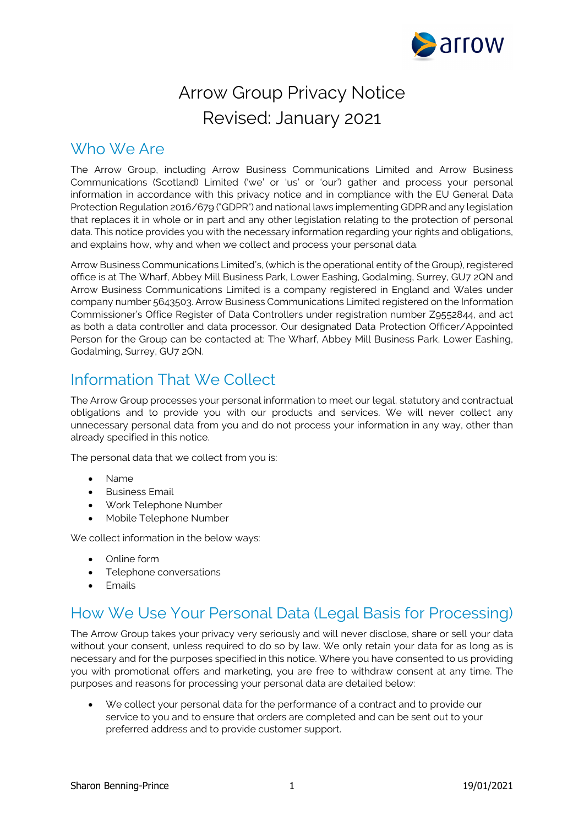

# Arrow Group Privacy Notice Revised: January 2021

#### Who We Are

The Arrow Group, including Arrow Business Communications Limited and Arrow Business Communications (Scotland) Limited ('we' or 'us' or 'our') gather and process your personal information in accordance with this privacy notice and in compliance with the EU General Data Protection Regulation 2016/679 ("GDPR") and national laws implementing GDPR and any legislation that replaces it in whole or in part and any other legislation relating to the protection of personal data. This notice provides you with the necessary information regarding your rights and obligations, and explains how, why and when we collect and process your personal data.

Arrow Business Communications Limited's, (which is the operational entity of the Group), registered office is at The Wharf, Abbey Mill Business Park, Lower Eashing, Godalming, Surrey, GU7 2QN and Arrow Business Communications Limited is a company registered in England and Wales under company number 5643503. Arrow Business Communications Limited registered on the Information Commissioner's Office Register of Data Controllers under registration number Z9552844, and act as both a data controller and data processor. Our designated Data Protection Officer/Appointed Person for the Group can be contacted at: The Wharf, Abbey Mill Business Park, Lower Eashing, Godalming, Surrey, GU7 2QN.

# Information That We Collect

The Arrow Group processes your personal information to meet our legal, statutory and contractual obligations and to provide you with our products and services. We will never collect any unnecessary personal data from you and do not process your information in any way, other than already specified in this notice.

The personal data that we collect from you is:

- Name
- Business Email
- Work Telephone Number
- Mobile Telephone Number

We collect information in the below ways:

- Online form
- Telephone conversations
- Emails

### How We Use Your Personal Data (Legal Basis for Processing)

The Arrow Group takes your privacy very seriously and will never disclose, share or sell your data without your consent, unless required to do so by law. We only retain your data for as long as is necessary and for the purposes specified in this notice. Where you have consented to us providing you with promotional offers and marketing, you are free to withdraw consent at any time. The purposes and reasons for processing your personal data are detailed below:

• We collect your personal data for the performance of a contract and to provide our service to you and to ensure that orders are completed and can be sent out to your preferred address and to provide customer support.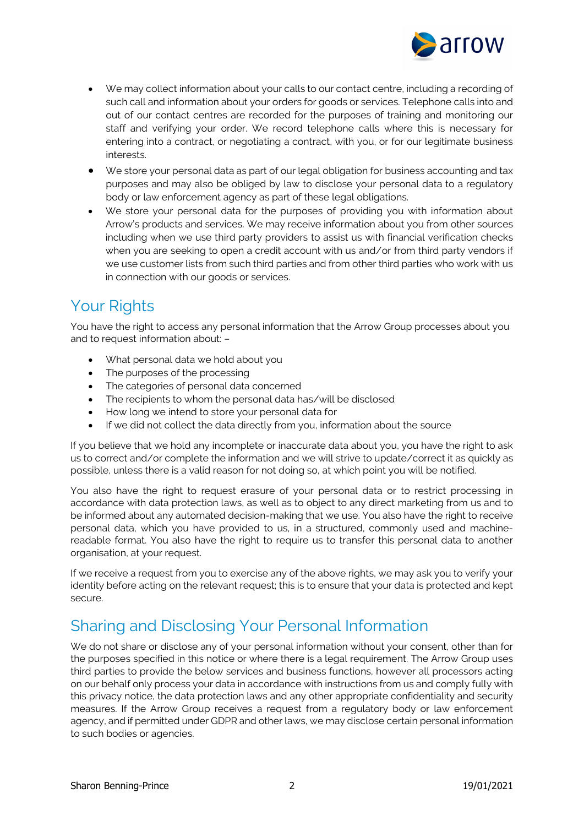

- We may collect information about your calls to our contact centre, including a recording of such call and information about your orders for goods or services. Telephone calls into and out of our contact centres are recorded for the purposes of training and monitoring our staff and verifying your order. We record telephone calls where this is necessary for entering into a contract, or negotiating a contract, with you, or for our legitimate business interests.
- We store your personal data as part of our legal obligation for business accounting and tax purposes and may also be obliged by law to disclose your personal data to a regulatory body or law enforcement agency as part of these legal obligations.
- We store your personal data for the purposes of providing you with information about Arrow's products and services. We may receive information about you from other sources including when we use third party providers to assist us with financial verification checks when you are seeking to open a credit account with us and/or from third party vendors if we use customer lists from such third parties and from other third parties who work with us in connection with our goods or services.

### Your Rights

You have the right to access any personal information that the Arrow Group processes about you and to request information about: –

- What personal data we hold about you
- The purposes of the processing
- The categories of personal data concerned
- The recipients to whom the personal data has/will be disclosed
- How long we intend to store your personal data for
- If we did not collect the data directly from you, information about the source

If you believe that we hold any incomplete or inaccurate data about you, you have the right to ask us to correct and/or complete the information and we will strive to update/correct it as quickly as possible, unless there is a valid reason for not doing so, at which point you will be notified.

You also have the right to request erasure of your personal data or to restrict processing in accordance with data protection laws, as well as to object to any direct marketing from us and to be informed about any automated decision-making that we use. You also have the right to receive personal data, which you have provided to us, in a structured, commonly used and machinereadable format. You also have the right to require us to transfer this personal data to another organisation, at your request.

If we receive a request from you to exercise any of the above rights, we may ask you to verify your identity before acting on the relevant request; this is to ensure that your data is protected and kept secure.

### Sharing and Disclosing Your Personal Information

We do not share or disclose any of your personal information without your consent, other than for the purposes specified in this notice or where there is a legal requirement. The Arrow Group uses third parties to provide the below services and business functions, however all processors acting on our behalf only process your data in accordance with instructions from us and comply fully with this privacy notice, the data protection laws and any other appropriate confidentiality and security measures. If the Arrow Group receives a request from a regulatory body or law enforcement agency, and if permitted under GDPR and other laws, we may disclose certain personal information to such bodies or agencies.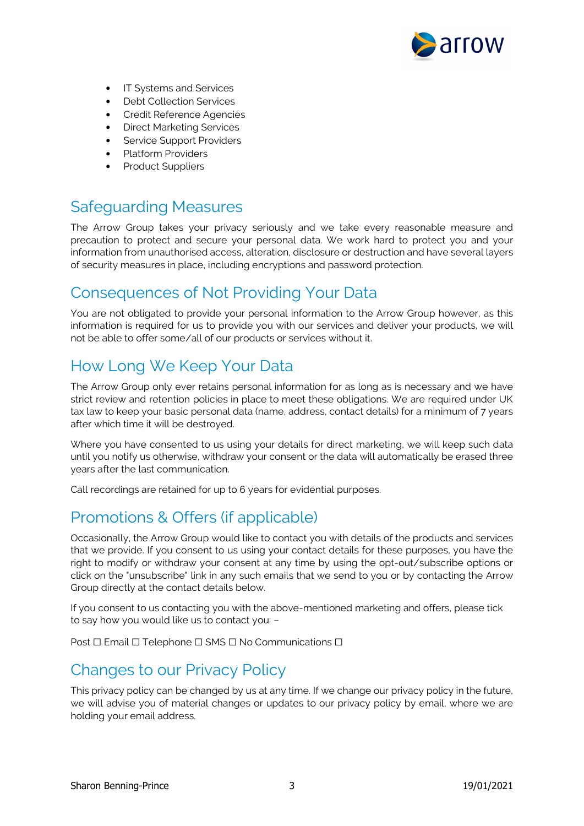

- **IT Systems and Services**
- **Debt Collection Services**
- Credit Reference Agencies
- Direct Marketing Services
- Service Support Providers
- Platform Providers
- Product Suppliers

# Safeguarding Measures

The Arrow Group takes your privacy seriously and we take every reasonable measure and precaution to protect and secure your personal data. We work hard to protect you and your information from unauthorised access, alteration, disclosure or destruction and have several layers of security measures in place, including encryptions and password protection.

#### Consequences of Not Providing Your Data

You are not obligated to provide your personal information to the Arrow Group however, as this information is required for us to provide you with our services and deliver your products, we will not be able to offer some/all of our products or services without it.

## How Long We Keep Your Data

The Arrow Group only ever retains personal information for as long as is necessary and we have strict review and retention policies in place to meet these obligations. We are required under UK tax law to keep your basic personal data (name, address, contact details) for a minimum of 7 years after which time it will be destroyed.

Where you have consented to us using your details for direct marketing, we will keep such data until you notify us otherwise, withdraw your consent or the data will automatically be erased three years after the last communication.

Call recordings are retained for up to 6 years for evidential purposes.

### Promotions & Offers (if applicable)

Occasionally, the Arrow Group would like to contact you with details of the products and services that we provide. If you consent to us using your contact details for these purposes, you have the right to modify or withdraw your consent at any time by using the opt-out/subscribe options or click on the "unsubscribe" link in any such emails that we send to you or by contacting the Arrow Group directly at the contact details below.

If you consent to us contacting you with the above-mentioned marketing and offers, please tick to say how you would like us to contact you: –

Post □ Email □ Telephone □ SMS □ No Communications □

#### Changes to our Privacy Policy

This privacy policy can be changed by us at any time. If we change our privacy policy in the future, we will advise you of material changes or updates to our privacy policy by email, where we are holding your email address.